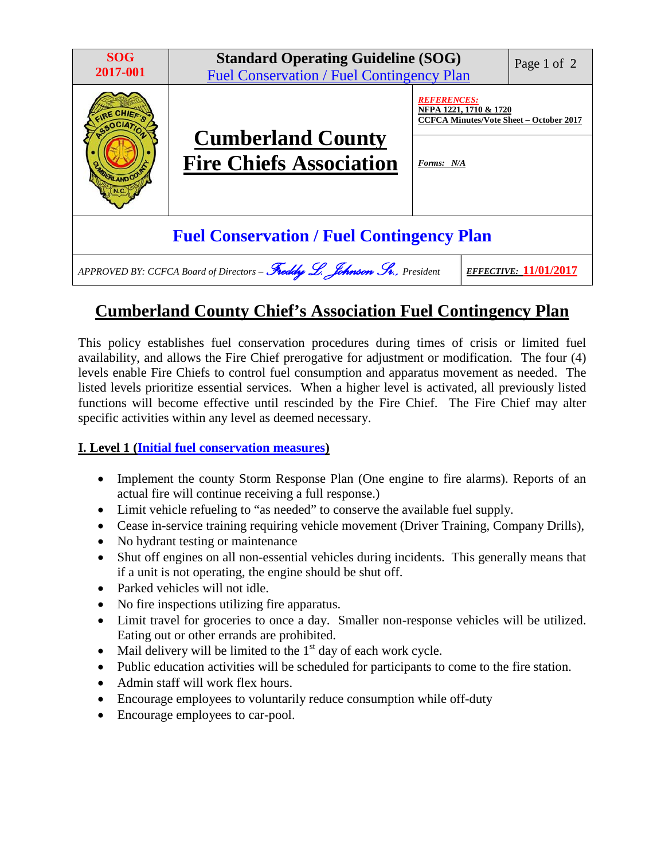| <b>SOG</b><br>2017-001                                                                                  | <b>Standard Operating Guideline (SOG)</b><br><b>Fuel Conservation / Fuel Contingency Plan</b> |                                                                                                | Page 1 of 2 |
|---------------------------------------------------------------------------------------------------------|-----------------------------------------------------------------------------------------------|------------------------------------------------------------------------------------------------|-------------|
|                                                                                                         |                                                                                               | <b>REFERENCES:</b><br>NFPA 1221, 1710 & 1720<br><b>CCFCA Minutes/Vote Sheet - October 2017</b> |             |
| <b>PLAND CO</b>                                                                                         | <b>Cumberland County</b><br><b>Fire Chiefs Association</b>                                    | Forms: N/A                                                                                     |             |
| <b>Fuel Conservation / Fuel Contingency Plan</b>                                                        |                                                                                               |                                                                                                |             |
| APPROVED BY: CCFCA Board of Directors - Freddy L. Johnson Sv., President<br><i>EFFECTIVE:</i> 11/01/201 |                                                                                               |                                                                                                |             |

## **Cumberland County Chief's Association Fuel Contingency Plan**

This policy establishes fuel conservation procedures during times of crisis or limited fuel availability, and allows the Fire Chief prerogative for adjustment or modification. The four (4) levels enable Fire Chiefs to control fuel consumption and apparatus movement as needed. The listed levels prioritize essential services. When a higher level is activated, all previously listed functions will become effective until rescinded by the Fire Chief. The Fire Chief may alter specific activities within any level as deemed necessary.

#### **I. Level 1 (Initial fuel conservation measures)**

- Implement the county Storm Response Plan (One engine to fire alarms). Reports of an actual fire will continue receiving a full response.)
- Limit vehicle refueling to "as needed" to conserve the available fuel supply.
- Cease in-service training requiring vehicle movement (Driver Training, Company Drills),
- No hydrant testing or maintenance
- Shut off engines on all non-essential vehicles during incidents. This generally means that if a unit is not operating, the engine should be shut off.
- Parked vehicles will not idle.
- No fire inspections utilizing fire apparatus.
- Limit travel for groceries to once a day. Smaller non-response vehicles will be utilized. Eating out or other errands are prohibited.
- Mail delivery will be limited to the  $1<sup>st</sup>$  day of each work cycle.
- Public education activities will be scheduled for participants to come to the fire station.
- Admin staff will work flex hours.
- Encourage employees to voluntarily reduce consumption while off-duty
- Encourage employees to car-pool.